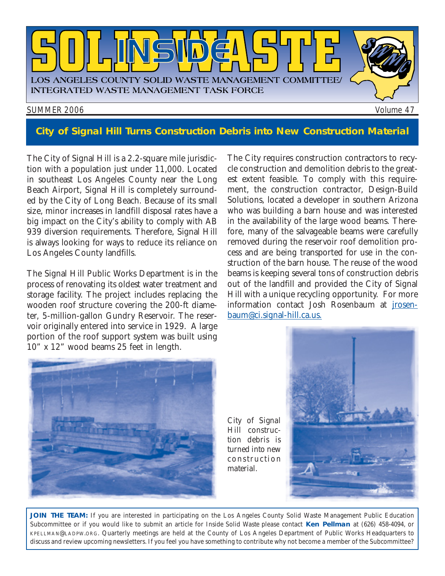

### **City of Signal Hill Turns Construction Debris into New Construction Material**

The City of Signal Hill is a 2.2-square mile jurisdiction with a population just under 11,000. Located in southeast Los Angeles County near the Long Beach Airport, Signal Hill is completely surrounded by the City of Long Beach. Because of its small size, minor increases in landfill disposal rates have a big impact on the City's ability to comply with AB 939 diversion requirements. Therefore, Signal Hill is always looking for ways to reduce its reliance on Los Angeles County landfills.

The Signal Hill Public Works Department is in the process of renovating its oldest water treatment and storage facility. The project includes replacing the wooden roof structure covering the 200-ft diameter, 5-million-gallon Gundry Reservoir. The reservoir originally entered into service in 1929. A large portion of the roof support system was built using 10" x 12" wood beams 25 feet in length.

The City requires construction contractors to recycle construction and demolition debris to the greatest extent feasible. To comply with this requirement, the construction contractor, Design-Build Solutions, located a developer in southern Arizona who was building a barn house and was interested in the availability of the large wood beams. Therefore, many of the salvageable beams were carefully removed during the reservoir roof demolition process and are being transported for use in the construction of the barn house. The reuse of the wood beams is keeping several tons of construction debris out of the landfill and provided the City of Signal Hill with a unique recycling opportunity. For more [information contact Josh Rosenbaum at jrosen](mailto://jrosenbaum@ci.signal-hill.ca.us)baum@ci.signal-hill.ca.us.



*City of Signal Hill construction debris is turned into new construction material.*



**JOIN THE TEAM:** If you are interested in participating on the Los Angeles County Solid Waste Management Public Education Subcommittee or if you would like to submit an article for *Inside Solid Waste* please contact **Ken Pellman** at (626) 458-4094, or [KPELLMAN@LADPW.ORG. Q](mailto://KPELLMAN@LADPW.ORG.)uarterly meetings are held at the County of Los Angeles Department of Public Works Headquarters to discuss and review upcoming newsletters. If you feel you have something to contribute why not become a member of the Subcommittee?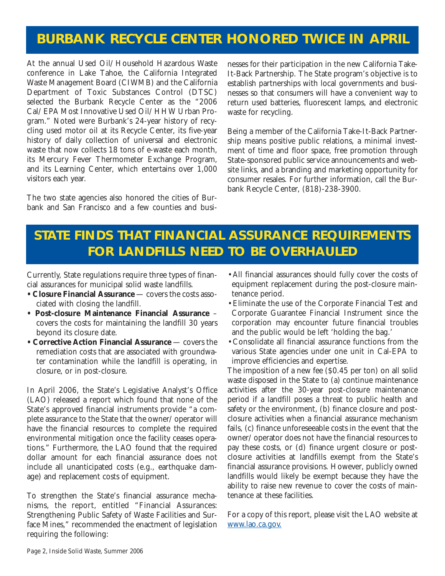## **BURBANK RECYCLE CENTER HONORED TWICE IN APRIL**

At the annual Used Oil/Household Hazardous Waste conference in Lake Tahoe, the California Integrated Waste Management Board (CIWMB) and the California Department of Toxic Substances Control (DTSC) selected the Burbank Recycle Center as the "2006 Cal/EPA Most Innovative Used Oil/HHW Urban Program." Noted were Burbank's 24-year history of recycling used motor oil at its Recycle Center, its five-year history of daily collection of universal and electronic waste that now collects 18 tons of e-waste each month, its Mercury Fever Thermometer Exchange Program, and its Learning Center, which entertains over 1,000 visitors each year.

The two state agencies also honored the cities of Burbank and San Francisco and a few counties and businesses for their participation in the new California Take-It-Back Partnership. The State program's objective is to establish partnerships with local governments and businesses so that consumers will have a convenient way to return used batteries, fluorescent lamps, and electronic waste for recycling.

Being a member of the California Take-It-Back Partnership means positive public relations, a minimal investment of time and floor space, free promotion through State-sponsored public service announcements and website links, and a branding and marketing opportunity for consumer resales. For further information, call the Burbank Recycle Center, (818)-238-3900.

## **STATE FINDS THAT FINANCIAL ASSURANCE REQUIREMENTS FOR LANDFILLS NEED TO BE OVERHAULED**

Currently, State regulations require three types of financial assurances for municipal solid waste landfills.

- **Closure Financial Assurance** covers the costs associated with closing the landfill.
- **Post-closure Maintenance Financial Assurance** covers the costs for maintaining the landfill 30 years beyond its closure date.
- **Corrective Action Financial Assurance** covers the remediation costs that are associated with groundwater contamination while the landfill is operating, in closure, or in post-closure.

In April 2006, the State's Legislative Analyst's Office (LAO) released a report which found that none of the State's approved financial instruments provide "a complete assurance to the State that the owner/operator will have the financial resources to complete the required environmental mitigation once the facility ceases operations." Furthermore, the LAO found that the required dollar amount for each financial assurance does not include all unanticipated costs (e.g., earthquake damage) and replacement costs of equipment.

To strengthen the State's financial assurance mechanisms, the report, entitled "Financial Assurances: Strengthening Public Safety of Waste Facilities and Surface Mines," recommended the enactment of legislation requiring the following:

- •All financial assurances should fully cover the costs of equipment replacement during the post-closure maintenance period.
- •Eliminate the use of the Corporate Financial Test and Corporate Guarantee Financial Instrument since the corporation may encounter future financial troubles and the public would be left 'holding the bag.'
- •Consolidate all financial assurance functions from the various State agencies under one unit in Cal-EPA to improve efficiencies and expertise.

The imposition of a new fee (\$0.45 per ton) on all solid waste disposed in the State to (a) continue maintenance activities after the 30-year post-closure maintenance period if a landfill poses a threat to public health and safety or the environment, (b) finance closure and postclosure activities when a financial assurance mechanism fails, (c) finance unforeseeable costs in the event that the owner/operator does not have the financial resources to pay these costs, or (d) finance urgent closure or postclosure activities at landfills exempt from the State's financial assurance provisions. However, publicly owned landfills would likely be exempt because they have the ability to raise new revenue to cover the costs of maintenance at these facilities.

For a copy of this report, please visit the LAO website at <www.lao.ca.gov.>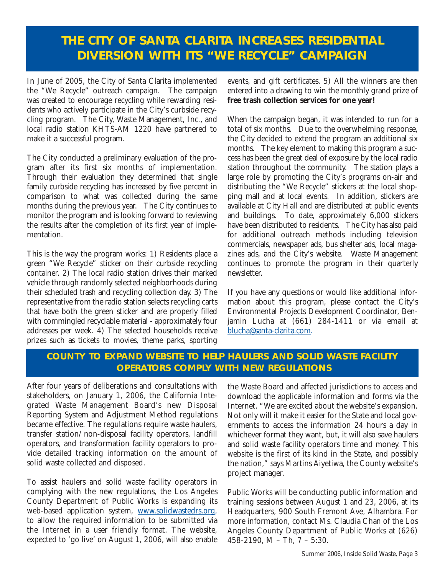### **THE CITY OF SANTA CLARITA INCREASES RESIDENTIAL DIVERSION WITH ITS "WE RECYCLE" CAMPAIGN**

In June of 2005, the City of Santa Clarita implemented the "We Recycle" outreach campaign. The campaign was created to encourage recycling while rewarding residents who actively participate in the City's curbside recycling program. The City, Waste Management, Inc., and local radio station KHTS-AM 1220 have partnered to make it a successful program.

The City conducted a preliminary evaluation of the program after its first six months of implementation. Through their evaluation they determined that single family curbside recycling has increased by five percent in comparison to what was collected during the same months during the previous year. The City continues to monitor the program and is looking forward to reviewing the results after the completion of its first year of implementation.

This is the way the program works: 1) Residents place a green "We Recycle" sticker on their curbside recycling container. 2) The local radio station drives their marked vehicle through randomly selected neighborhoods during their scheduled trash and recycling collection day. 3) The representative from the radio station selects recycling carts that have both the green sticker and are properly filled with commingled recyclable material - approximately four addresses per week. 4) The selected households receive prizes such as tickets to movies, theme parks, sporting events, and gift certificates. 5) All the winners are then entered into a drawing to win the monthly grand prize of **free trash collection services for one year!**

When the campaign began, it was intended to run for a total of six months. Due to the overwhelming response, the City decided to extend the program an additional six months. The key element to making this program a success has been the great deal of exposure by the local radio station throughout the community. The station plays a large role by promoting the City's programs on-air and distributing the "We Recycle" stickers at the local shopping mall and at local events. In addition, stickers are available at City Hall and are distributed at public events and buildings. To date, approximately 6,000 stickers have been distributed to residents. The City has also paid for additional outreach methods including television commercials, newspaper ads, bus shelter ads, local magazines ads, and the City's website. Waste Management continues to promote the program in their quarterly newsletter.

If you have any questions or would like additional information about this program, please contact the City's Environmental Projects Development Coordinator, Benjamin Lucha at (661) 284-1411 or via email at [blucha@santa-clarita.com.](mailto://blucha@santa-clarita.com) 

#### **COUNTY TO EXPAND WEBSITE TO HELP HAULERS AND SOLID WASTE FACILITY OPERATORS COMPLY WITH NEW REGULATIONS**

After four years of deliberations and consultations with stakeholders, on January 1, 2006, the California Integrated Waste Management Board's new Disposal Reporting System and Adjustment Method regulations became effective. The regulations require waste haulers, transfer station/non-disposal facility operators, landfill operators, and transformation facility operators to provide detailed tracking information on the amount of solid waste collected and disposed.

To assist haulers and solid waste facility operators in complying with the new regulations, the Los Angeles County Department of Public Works is expanding its web-based application system, [www.solidwastedrs.org,](http://ladpw.org/swims/) to allow the required information to be submitted via the Internet in a user friendly format. The website, expected to 'go live' on August 1, 2006, will also enable the Waste Board and affected jurisdictions to access and download the applicable information and forms via the Internet. "We are excited about the website's expansion. Not only will it make it easier for the State and local governments to access the information 24 hours a day in whichever format they want, but, it will also save haulers and solid waste facility operators time and money. This website is the first of its kind in the State, and possibly the nation," says Martins Aiyetiwa, the County website's project manager.

Public Works will be conducting public information and training sessions between August 1 and 23, 2006, at its Headquarters, 900 South Fremont Ave, Alhambra. For more information, contact Ms. Claudia Chan of the Los Angeles County Department of Public Works at (626) 458-2190, M – Th, 7 – 5:30.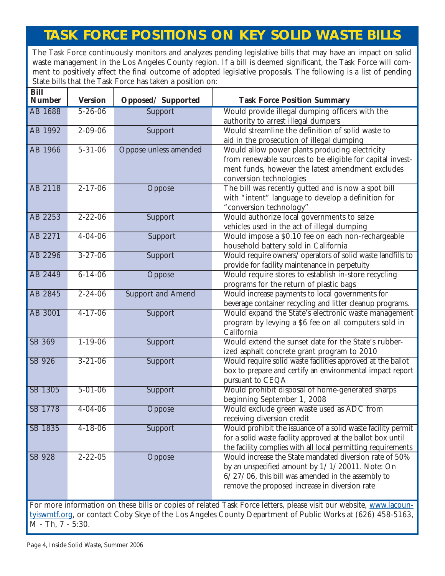## **TASK FORCE POSITIONS ON KEY SOLID WASTE BILLS**

The Task Force continuously monitors and analyzes pending legislative bills that may have an impact on solid waste management in the Los Angeles County region. If a bill is deemed significant, the Task Force will comment to positively affect the final outcome of adopted legislative proposals. The following is a list of pending State bills that the Task Force has taken a position on:

| Bill<br><b>Number</b>                                                                                                                                                                                                            | <b>Version</b> | Opposed/Supported        | <b>Task Force Position Summary</b>                                                                                                                                                                                      |
|----------------------------------------------------------------------------------------------------------------------------------------------------------------------------------------------------------------------------------|----------------|--------------------------|-------------------------------------------------------------------------------------------------------------------------------------------------------------------------------------------------------------------------|
| <b>AB 1688</b>                                                                                                                                                                                                                   | $5 - 26 - 06$  | Support                  | Would provide illegal dumping officers with the<br>authority to arrest illegal dumpers                                                                                                                                  |
| AB 1992                                                                                                                                                                                                                          | $2 - 09 - 06$  | Support                  | Would streamline the definition of solid waste to<br>aid in the prosecution of illegal dumping                                                                                                                          |
| AB 1966                                                                                                                                                                                                                          | $5 - 31 - 06$  | Oppose unless amended    | Would allow power plants producing electricity<br>from renewable sources to be eligible for capital invest-<br>ment funds, however the latest amendment excludes<br>conversion technologies                             |
| AB 2118                                                                                                                                                                                                                          | $2 - 17 - 06$  | Oppose                   | The bill was recently gutted and is now a spot bill<br>with "intent" language to develop a definition for<br>"conversion technology"                                                                                    |
| AB 2253                                                                                                                                                                                                                          | $2 - 22 - 06$  | Support                  | Would authorize local governments to seize<br>vehicles used in the act of illegal dumping                                                                                                                               |
| AB 2271                                                                                                                                                                                                                          | $4 - 04 - 06$  | Support                  | Would impose a \$0.10 fee on each non-rechargeable<br>household battery sold in California                                                                                                                              |
| AB 2296                                                                                                                                                                                                                          | $3 - 27 - 06$  | Support                  | Would require owners/operators of solid waste landfills to<br>provide for facility maintenance in perpetuity                                                                                                            |
| AB 2449                                                                                                                                                                                                                          | $6 - 14 - 06$  | Oppose                   | Would require stores to establish in-store recycling<br>programs for the return of plastic bags                                                                                                                         |
| AB 2845                                                                                                                                                                                                                          | $2 - 24 - 06$  | <b>Support and Amend</b> | Would increase payments to local governments for<br>beverage container recycling and litter cleanup programs.                                                                                                           |
| <b>AB 3001</b>                                                                                                                                                                                                                   | $4 - 17 - 06$  | Support                  | Would expand the State's electronic waste management<br>program by levying a \$6 fee on all computers sold in<br>California                                                                                             |
| <b>SB 369</b>                                                                                                                                                                                                                    | $1 - 19 - 06$  | <b>Support</b>           | Would extend the sunset date for the State's rubber-<br>ized asphalt concrete grant program to 2010                                                                                                                     |
| SB 926                                                                                                                                                                                                                           | $3 - 21 - 06$  | Support                  | Would require solid waste facilities approved at the ballot<br>box to prepare and certify an environmental impact report<br>pursuant to CEQA                                                                            |
| SB 1305                                                                                                                                                                                                                          | $5 - 01 - 06$  | Support                  | Would prohibit disposal of home-generated sharps<br>beginning September 1, 2008                                                                                                                                         |
| SB 1778                                                                                                                                                                                                                          | $4 - 04 - 06$  | Oppose                   | Would exclude green waste used as ADC from<br>receiving diversion credit                                                                                                                                                |
| SB 1835                                                                                                                                                                                                                          | $4 - 18 - 06$  | Support                  | Would prohibit the issuance of a solid waste facility permit<br>for a solid waste facility approved at the ballot box until<br>the facility complies with all local permitting requirements                             |
| SB 928                                                                                                                                                                                                                           | $2 - 22 - 05$  | Oppose                   | Would increase the State mandated diversion rate of 50%<br>by an unspecified amount by $1/1/20011$ . Note: On<br>$6/27/06$ , this bill was amended in the assembly to<br>remove the proposed increase in diversion rate |
| For more information on these bills or copies of related Task Force letters, please visit our website, www.lacoun-<br>tyiswmtf.org, or contact Coby Skye of the Los Angeles County Department of Public Works at (626) 458-5163, |                |                          |                                                                                                                                                                                                                         |

M - Th, 7 - 5:30.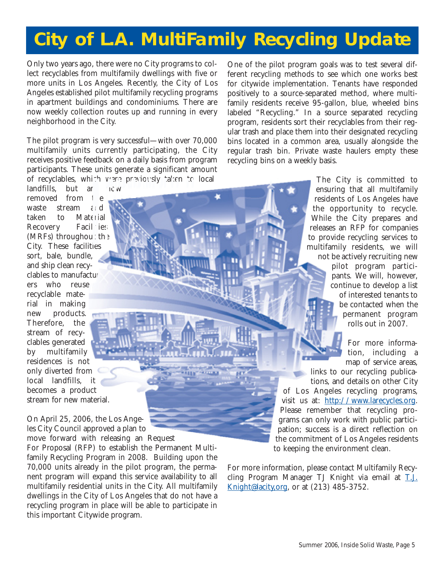## **City of L.A. MultiFamily Recycling Update**

Only two years ago, there were no City programs to collect recyclables from multifamily dwellings with five or more units in Los Angeles. Recently, the City of Los Angeles established pilot multifamily recycling programs in apartment buildings and condominiums. There are now weekly collection routes up and running in every neighborhood in the City.

The pilot program is very successful—with over 70,000 multifamily units currently participating, the City receives positive feedback on a daily basis from program participants. These units generate a significant amount of recyclables, which were previously taken to local

landfills, but are  $ncw$ removed from  $t$  e waste stream and taken to Material Recovery Facilities (MRFs) throughout the City. These facilities sort, bale, bundle, and ship clean recyclables to manufacturers who reuse recyclable material in making new products. Therefore, the stream of recyclables generated by multifamily residences is not only diverted from local landfills, it becomes a product stream for new material.

On April 25, 2006, the Los Angeles City Council approved a plan to move forward with releasing an Request

For Proposal (RFP) to establish the Permanent Multifamily Recycling Program in 2008. Building upon the 70,000 units already in the pilot program, the permanent program will expand this service availability to all multifamily residential units in the City. All multifamily dwellings in the City of Los Angeles that do not have a recycling program in place will be able to participate in this important Citywide program.

One of the pilot program goals was to test several different recycling methods to see which one works best for citywide implementation. Tenants have responded positively to a source-separated method, where multifamily residents receive 95-gallon, blue, wheeled bins labeled "Recycling." In a source separated recycling program, residents sort their recyclables from their regular trash and place them into their designated recycling bins located in a common area, usually alongside the regular trash bin. Private waste haulers empty these recycling bins on a weekly basis.

> The City is committed to ensuring that all multifamily residents of Los Angeles have the opportunity to recycle. While the City prepares and releases an RFP for companies to provide recycling services to multifamily residents, we will not be actively recruiting new pilot program participants. We will, however, continue to develop a list of interested tenants to be contacted when the permanent program rolls out in 2007.

> > For more information, including a map of service areas,

links to our recycling publications, and details on other City of Los Angeles recycling programs, visit us at:<http://www.larecycles.org.> Please remember that recycling programs can only work with public participation; success is a direct reflection on the commitment of Los Angeles residents to keeping the environment clean.

For more information, please contact Multifamily Recycling Program Manager TJ Knight via email at T.J. [Knight@lacity,org, or at \(213\) 485-3752.](mailto://T.J.Knight@lacity.org)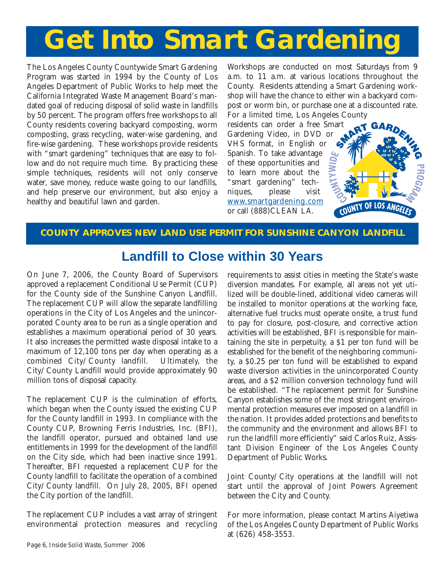## **Get Into Smart Gardening**

The Los Angeles County Countywide Smart Gardening Program was started in 1994 by the County of Los Angeles Department of Public Works to help meet the California Integrated Waste Management Board's mandated goal of reducing disposal of solid waste in landfills by 50 percent. The program offers free workshops to all County residents covering backyard composting, worm composting, grass recycling, water-wise gardening, and fire-wise gardening. These workshops provide residents with "smart gardening" techniques that are easy to follow and do not require much time. By practicing these simple techniques, residents will not only conserve water, save money, reduce waste going to our landfills, and help preserve our environment, but also enjoy a healthy and beautiful lawn and garden.

Workshops are conducted on most Saturdays from 9 a.m. to 11 a.m. at various locations throughout the County. Residents attending a Smart Gardening workshop will have the chance to either win a backyard compost or worm bin, or purchase one at a discounted rate. For a limited time, Los Angeles County

residents can order a free S[mart](http://ladpw.org/epd/sg/) Gardening Video, in DVD or VHS format, in English or Spanish. To take advantage of these opportunities and to learn more about the "smart gardening" techniques, please visit [www.smartgardening.com](http://ladpw.org/epd/sg/) or call (888)CLEAN LA.



#### **COUNTY APPROVES NEW LAND USE PERMIT FOR SUNSHINE CANYON LANDFILL**

### **Landfill to Close within 30 Years**

On June 7, 2006, the County Board of Supervisors approved a replacement Conditional Use Permit (CUP) for the County side of the Sunshine Canyon Landfill. The replacement CUP will allow the separate landfilling operations in the City of Los Angeles and the unincorporated County area to be run as a single operation and establishes a maximum operational period of 30 years. It also increases the permitted waste disposal intake to a maximum of 12,100 tons per day when operating as a combined City/County landfill. Ultimately, the City/County Landfill would provide approximately 90 million tons of disposal capacity.

The replacement CUP is the culmination of efforts, which began when the County issued the existing CUP for the County landfill in 1993. In compliance with the County CUP, Browning Ferris Industries, Inc. (BFI), the landfill operator, pursued and obtained land use entitlements in 1999 for the development of the landfill on the City side, which had been inactive since 1991. Thereafter, BFI requested a replacement CUP for the County landfill to facilitate the operation of a combined City/County landfill. On July 28, 2005, BFI opened the City portion of the landfill.

The replacement CUP includes a vast array of stringent environmental protection measures and recycling requirements to assist cities in meeting the State's waste diversion mandates. For example, all areas not yet utilized will be double-lined, additional video cameras will be installed to monitor operations at the working face, alternative fuel trucks must operate onsite, a trust fund to pay for closure, post-closure, and corrective action activities will be established, BFI is responsible for maintaining the site in perpetuity, a \$1 per ton fund will be established for the benefit of the neighboring community, a \$0.25 per ton fund will be established to expand waste diversion activities in the unincorporated County areas, and a \$2 million conversion technology fund will be established. "The replacement permit for Sunshine Canyon establishes some of the most stringent environmental protection measures ever imposed on a landfill in the nation. It provides added protections and benefits to the community and the environment and allows BFI to run the landfill more efficiently" said Carlos Ruiz, Assistant Division Engineer of the Los Angeles County Department of Public Works.

Joint County/City operations at the landfill will not start until the approval of Joint Powers Agreement between the City and County.

For more information, please contact Martins Aiyetiwa of the Los Angeles County Department of Public Works at (626) 458-3553.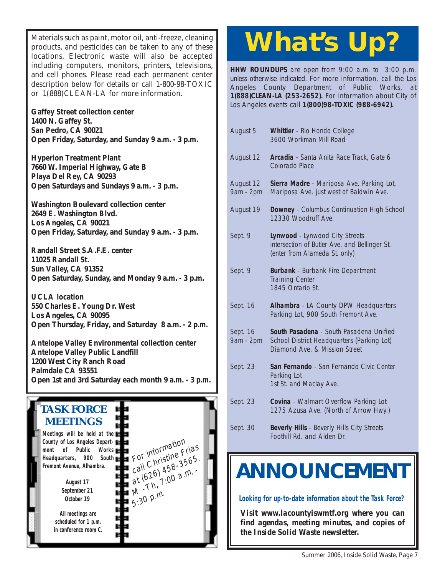Materials such as paint, motor oil, anti-freeze, cleaning products, and pesticides can be taken to any of these locations. Electronic waste will also be accepted including computers, monitors, printers, televisions, and cell phones. Please read each permanent center description below for details or call 1-800-98-TOXIC or 1(888)CLEAN-LA for more information.

**Gaffey Street collection center 1400 N. Gaffey St. San Pedro, CA 90021 [Open Friday, Saturday, and Sunday 9 a.m. - 3 p.m.](http://www.lacity.org/san/safe-gaffey.htm)**

**Hyperion Treatment Plant 7660 W. Imperial Highway, Gate B Playa Del Rey, CA 90293 [Open Saturdays and Sundays 9 a.m. - 3 p.m.](http://www.lacity.org/san/safe-htp.htm)**

**Washington Boulevard collection center 2649 E. Washington Blvd. Los Angeles, CA 90021 [Open Friday, Saturday, and Sunday 9 a.m. - 3 p.m.](http://www.lacity.org/san/safe-washington.htm)**

**Randall Street S.A.F.E. center 11025 Randall St. Sun Valley, CA 91352 [Open Saturday, Sunday, and Monday 9 a.m. - 3 p.m.](http://www.lacity.org/san/safe-randall.htm)**

**UCLA location 550 Charles E. Young Dr. West Los Angeles, CA 90095 [Open Thursday, Friday, and Saturday 8 a.m. - 2 p.m.](http://www.lacity.org/san/safe-ucla.htm)**

**Antelope Valley Environmental collection center Antelope Valley Public Landfill 1200 West City Ranch Road Palmdale CA 93551 [Open 1st and 3rd Saturday each month 9 a.m. - 3 p.m.](http://ladpw.org/epd/avecc/index.cfm)**



# **What's Up?**

**HHW ROUNDUPS** are open from 9:00 a.m. to 3:00 p.m. unless otherwise indicated. For more information, call the Los Angeles County Department of Public Works, at **1(888)CLEAN-LA (253-2652).** For information about City of Los Angeles events call **1(800)98-TOXIC (988-6942).**

| August 5               | Whittier - Rio Hondo College<br>3600 Workman Mill Road                                                                 |
|------------------------|------------------------------------------------------------------------------------------------------------------------|
| August 12              | Arcadia - Santa Anita Race Track, Gate 6<br><b>Colorado Place</b>                                                      |
| August 12<br>9am - 2pm | Sierra Madre - Mariposa Ave. Parking Lot,<br>Mariposa Ave. just west of Baldwin Ave.                                   |
| August 19              | Downey - Columbus Continuation High School<br>12330 Woodruff Ave.                                                      |
| Sept. 9                | Lynwood - Lynwood City Streets<br>intersection of Butler Ave. and Bellinger St.<br>(enter from Alameda St. only)       |
| Sept. 9                | <b>Burbank</b> - Burbank Fire Department<br><b>Training Center</b><br>1845 Ontario St.                                 |
| Sept. 16               | Alhambra - LA County DPW Headquarters<br>Parking Lot, 900 South Fremont Ave.                                           |
| Sept. 16<br>9am - 2pm  | South Pasadena - South Pasadena Unified<br>School District Headquarters (Parking Lot)<br>Diamond Ave. & Mission Street |
| Sept. 23               | San Fernando - San Fernando Civic Center<br>Parking Lot<br>1st St. and Maclay Ave.                                     |
| Sept. 23               | Covina - Walmart Overflow Parking Lot<br>1275 Azusa Ave. (North of Arrow Hwy.)                                         |
| Sept. 30               | Beverly Hills - Beverly Hills City Streets                                                                             |

## Foothill Rd. and Alden Dr.

## **[ANNOUNCEMENT](http://ladpw.org/epd/tf/)**

**Looking for up-to-date information about the Task Force?**

*Visit www.lacountyiswmtf.org where you can find agendas, meeting minutes, and copies of the Inside Solid Waste newsletter.*